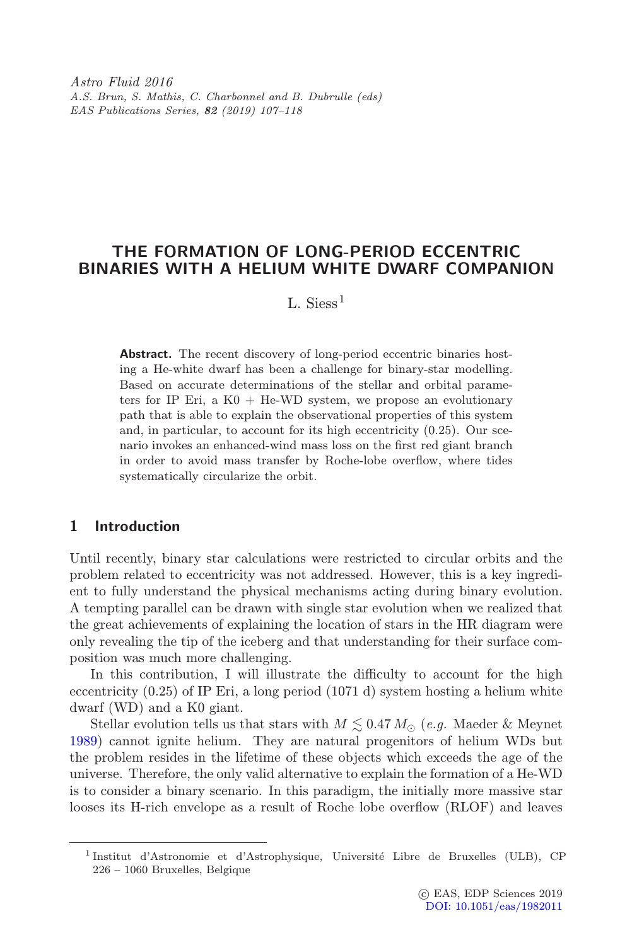Astro Fluid 2016 A.S. Brun, S. Mathis, C. Charbonnel and B. Dubrulle (eds) EAS Publications Series, 82 (2019) 107–118

## THE FORMATION OF LONG-PERIOD ECCENTRIC BINARIES WITH A HELIUM WHITE DWARF COMPANION

# L. Siess<sup>1</sup>

Abstract. The recent discovery of long-period eccentric binaries hosting a He-white dwarf has been a challenge for binary-star modelling. Based on accurate determinations of the stellar and orbital parameters for IP Eri, a  $K0 + He-WD$  system, we propose an evolutionary path that is able to explain the observational properties of this system and, in particular, to account for its high eccentricity (0.25). Our scenario invokes an enhanced-wind mass loss on the first red giant branch in order to avoid mass transfer by Roche-lobe overflow, where tides systematically circularize the orbit.

## 1 Introduction

Until recently, binary star calculations were restricted to circular orbits and the problem related to eccentricity was not addressed. However, this is a key ingredient to fully understand the physical mechanisms acting during binary evolution. A tempting parallel can be drawn with single star evolution when we realized that the great achievements of explaining the location of stars in the HR diagram were only revealing the tip of the iceberg and that understanding for their surface composition was much more challenging.

In this contribution, I will illustrate the difficulty to account for the high eccentricity (0.25) of IP Eri, a long period (1071 d) system hosting a helium white dwarf (WD) and a K0 giant.

Stellar evolution tells us that stars with  $M \lesssim 0.47 M_{\odot}$  (e.g. Maeder & Meynet [1989\)](#page-10-0) cannot ignite helium. They are natural progenitors of helium WDs but the problem resides in the lifetime of these objects which exceeds the age of the universe. Therefore, the only valid alternative to explain the formation of a He-WD is to consider a binary scenario. In this paradigm, the initially more massive star looses its H-rich envelope as a result of Roche lobe overflow (RLOF) and leaves

<sup>&</sup>lt;sup>1</sup>Institut d'Astronomie et d'Astrophysique, Université Libre de Bruxelles (ULB), CP 226 – 1060 Bruxelles, Belgique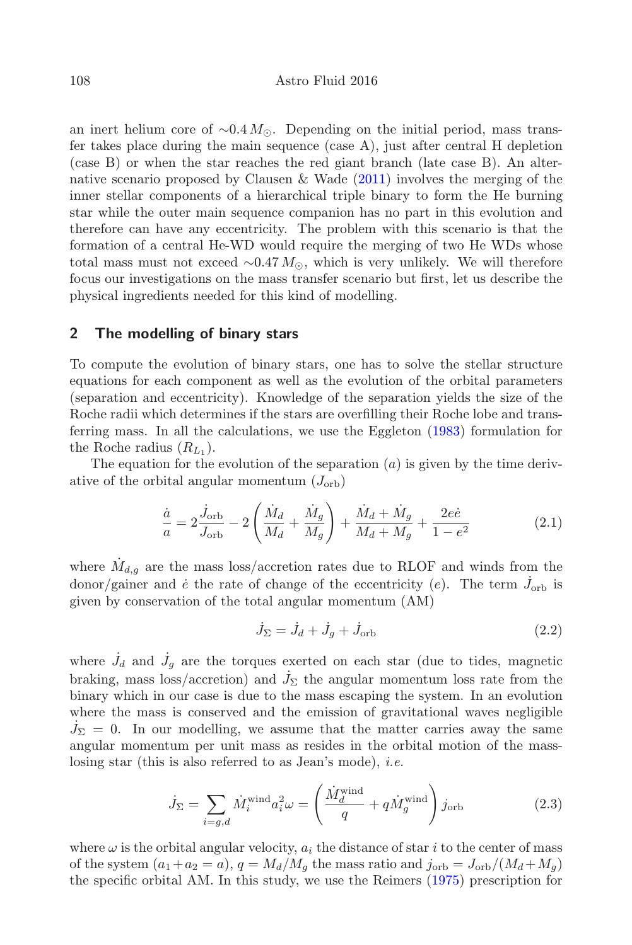an inert helium core of  $\sim 0.4 M_{\odot}$ . Depending on the initial period, mass transfer takes place during the main sequence  $(\text{case A})$ , just after central H depletion (case B) or when the star reaches the red giant branch (late case B). An alternative scenario proposed by Clausen & Wade [\(2011\)](#page-10-1) involves the merging of the inner stellar components of a hierarchical triple binary to form the He burning star while the outer main sequence companion has no part in this evolution and therefore can have any eccentricity. The problem with this scenario is that the formation of a central He-WD would require the merging of two He WDs whose total mass must not exceed  $\sim 0.47 M_{\odot}$ , which is very unlikely. We will therefore focus our investigations on the mass transfer scenario but first, let us describe the physical ingredients needed for this kind of modelling.

#### 2 The modelling of binary stars

To compute the evolution of binary stars, one has to solve the stellar structure equations for each component as well as the evolution of the orbital parameters (separation and eccentricity). Knowledge of the separation yields the size of the Roche radii which determines if the stars are overfilling their Roche lobe and transferring mass. In all the calculations, we use the Eggleton [\(1983\)](#page-10-2) formulation for the Roche radius  $(R_{L_1})$ .

The equation for the evolution of the separation  $(a)$  is given by the time derivative of the orbital angular momentum  $(J_{\text{orb}})$ 

$$
\frac{\dot{a}}{a} = 2\frac{\dot{J}_{\text{orb}}}{J_{\text{orb}}} - 2\left(\frac{\dot{M}_d}{M_d} + \frac{\dot{M}_g}{M_g}\right) + \frac{\dot{M}_d + \dot{M}_g}{M_d + M_g} + \frac{2e\dot{e}}{1 - e^2}
$$
\n(2.1)

<span id="page-1-0"></span>where  $M_{d,q}$  are the mass loss/accretion rates due to RLOF and winds from the donor/gainer and  $\dot{e}$  the rate of change of the eccentricity (e). The term  $\dot{J}_{\text{orb}}$  is given by conservation of the total angular momentum (AM)

$$
\dot{J}_{\Sigma} = \dot{J}_d + \dot{J}_g + \dot{J}_{\text{orb}} \tag{2.2}
$$

where  $\dot{J}_d$  and  $\dot{J}_g$  are the torques exerted on each star (due to tides, magnetic braking, mass loss/accretion) and  $\dot{J}_\Sigma$  the angular momentum loss rate from the binary which in our case is due to the mass escaping the system. In an evolution where the mass is conserved and the emission of gravitational waves negligible  $\dot{J}_{\Sigma} = 0$ . In our modelling, we assume that the matter carries away the same angular momentum per unit mass as resides in the orbital motion of the masslosing star (this is also referred to as Jean's mode), i.e.

$$
\dot{J}_{\Sigma} = \sum_{i=g,d} \dot{M}_i^{\text{wind}} a_i^2 \omega = \left(\frac{\dot{M}_d^{\text{wind}}}{q} + q \dot{M}_g^{\text{wind}}\right) j_{\text{orb}}
$$
(2.3)

<span id="page-1-1"></span>where  $\omega$  is the orbital angular velocity,  $a_i$  the distance of star i to the center of mass of the system  $(a_1+a_2=a)$ ,  $q = M_d/M_q$  the mass ratio and  $j_{\text{orb}} = J_{\text{orb}}/(M_d+M_q)$ the specific orbital AM. In this study, we use the Reimers [\(1975\)](#page-11-0) prescription for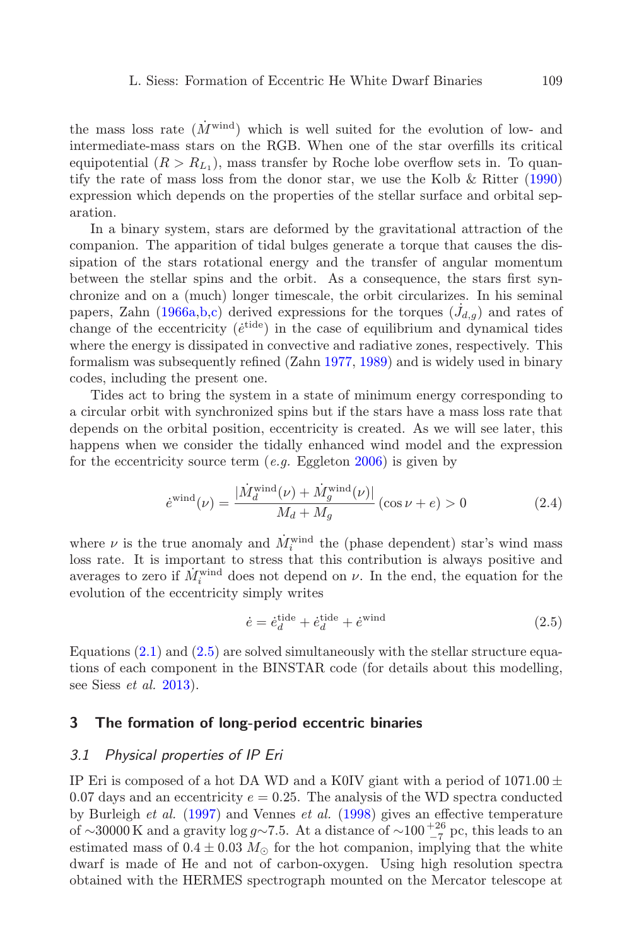the mass loss rate  $(M^{\text{wind}})$  which is well suited for the evolution of low- and intermediate-mass stars on the RGB. When one of the star overfills its critical equipotential  $(R > R_{L_1})$ , mass transfer by Roche lobe overflow sets in. To quantify the rate of mass loss from the donor star, we use the Kolb & Ritter [\(1990\)](#page-10-3) expression which depends on the properties of the stellar surface and orbital separation.

In a binary system, stars are deformed by the gravitational attraction of the companion. The apparition of tidal bulges generate a torque that causes the dissipation of the stars rotational energy and the transfer of angular momentum between the stellar spins and the orbit. As a consequence, the stars first synchronize and on a (much) longer timescale, the orbit circularizes. In his seminal papers, Zahn [\(1966a](#page-11-1)[,b,](#page-11-2)[c\)](#page-11-3) derived expressions for the torques  $(\dot{J}_{d,g})$  and rates of change of the eccentricity ( $\acute{e}^{\text{tide}}$ ) in the case of equilibrium and dynamical tides where the energy is dissipated in convective and radiative zones, respectively. This formalism was subsequently refined (Zahn [1977,](#page-11-4) [1989\)](#page-11-5) and is widely used in binary codes, including the present one.

Tides act to bring the system in a state of minimum energy corresponding to a circular orbit with synchronized spins but if the stars have a mass loss rate that depends on the orbital position, eccentricity is created. As we will see later, this happens when we consider the tidally enhanced wind model and the expression for the eccentricity source term  $(e,q, Eggleton 2006)$  $(e,q, Eggleton 2006)$  is given by

$$
\dot{e}^{\text{wind}}(\nu) = \frac{|\dot{M}_d^{\text{wind}}(\nu) + \dot{M}_g^{\text{wind}}(\nu)|}{M_d + M_g} (\cos \nu + e) > 0 \tag{2.4}
$$

<span id="page-2-1"></span>where  $\nu$  is the true anomaly and  $\dot{M}_i^{\text{wind}}$  the (phase dependent) star's wind mass loss rate. It is important to stress that this contribution is always positive and averages to zero if  $\dot{M}_i^{\text{wind}}$  does not depend on  $\nu$ . In the end, the equation for the evolution of the eccentricity simply writes

$$
\dot{e} = \dot{e}_d^{\text{tide}} + \dot{e}_d^{\text{tide}} + \dot{e}^{\text{wind}} \tag{2.5}
$$

<span id="page-2-0"></span>Equations [\(2.1\)](#page-1-0) and [\(2.5\)](#page-2-0) are solved simultaneously with the stellar structure equations of each component in the BINSTAR code (for details about this modelling, see Siess  $et \ al. \ 2013$ ).

#### 3 The formation of long-period eccentric binaries

#### 3.1 Physical properties of IP Eri

IP Eri is composed of a hot DA WD and a K0IV giant with a period of  $1071.00 \pm$ 0.07 days and an eccentricity  $e = 0.25$ . The analysis of the WD spectra conducted by Burleigh et al. [\(1997\)](#page-10-5) and Vennes et al. [\(1998\)](#page-11-7) gives an effective temperature of ∼30000 K and a gravity log  $g \sim 7.5$ . At a distance of  $\sim 100^{-26}$  pc, this leads to an estimated mass of  $0.4 \pm 0.03$   $M_{\odot}$  for the hot companion, implying that the white dwarf is made of He and not of carbon-oxygen. Using high resolution spectra obtained with the HERMES spectrograph mounted on the Mercator telescope at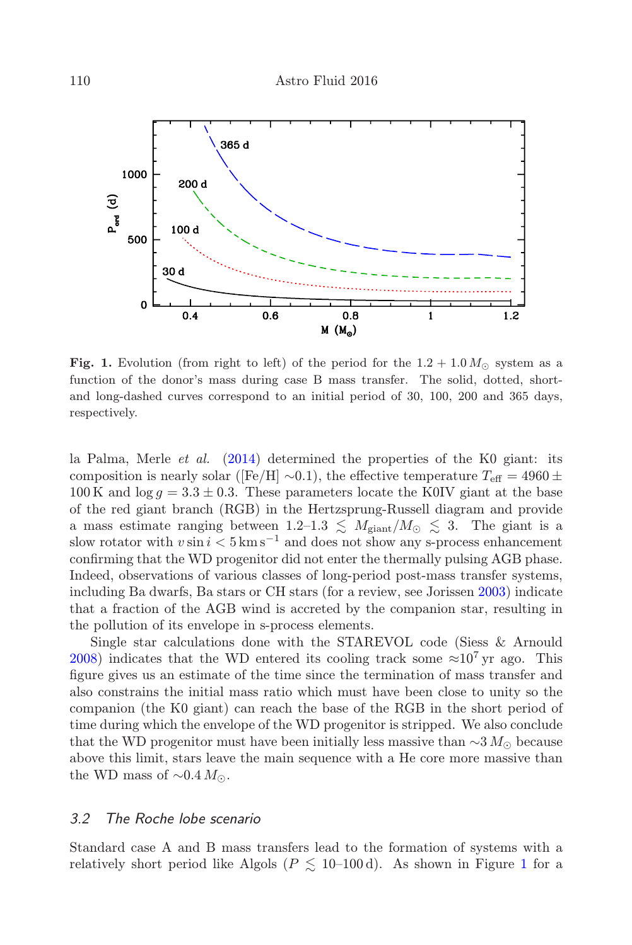

<span id="page-3-0"></span>Fig. 1. Evolution (from right to left) of the period for the  $1.2+1.0 M_{\odot}$  system as a function of the donor's mass during case B mass transfer. The solid, dotted, shortand long-dashed curves correspond to an initial period of 30, 100, 200 and 365 days, respectively.

la Palma, Merle *et al.*  $(2014)$  determined the properties of the K0 giant: its composition is nearly solar ([Fe/H]  $\sim$ 0.1), the effective temperature  $T_{\text{eff}} = 4960 \pm$ 100 K and  $\log g = 3.3 \pm 0.3$ . These parameters locate the K0IV giant at the base of the red giant branch (RGB) in the Hertzsprung-Russell diagram and provide a mass estimate ranging between  $1.2{\text -}1.3 \leq M_{\text{giant}}/M_{\odot} \leq 3$ . The giant is a slow rotator with  $v \sin i < 5 \text{ km s}^{-1}$  and does not show any s-process enhancement confirming that the WD progenitor did not enter the thermally pulsing AGB phase. Indeed, observations of various classes of long-period post-mass transfer systems, including Ba dwarfs, Ba stars or CH stars (for a review, see Jorissen [2003\)](#page-10-6) indicate that a fraction of the AGB wind is accreted by the companion star, resulting in the pollution of its envelope in s-process elements.

Single star calculations done with the STAREVOL code (Siess & Arnould [2008\)](#page-11-9) indicates that the WD entered its cooling track some  $\approx 10^7$  yr ago. This figure gives us an estimate of the time since the termination of mass transfer and also constrains the initial mass ratio which must have been close to unity so the companion (the K0 giant) can reach the base of the RGB in the short period of time during which the envelope of the WD progenitor is stripped. We also conclude that the WD progenitor must have been initially less massive than  $\sim$ 3 M<sub>⊙</sub> because above this limit, stars leave the main sequence with a He core more massive than the WD mass of  $\sim 0.4 M_{\odot}$ .

#### 3.2 The Roche lobe scenario

Standard case A and B mass transfers lead to the formation of systems with a relatively short period like Algols ( $P \leq 10$  $P \leq 10$  $P \leq 10$ –100 d). As shown in Figure 1 for a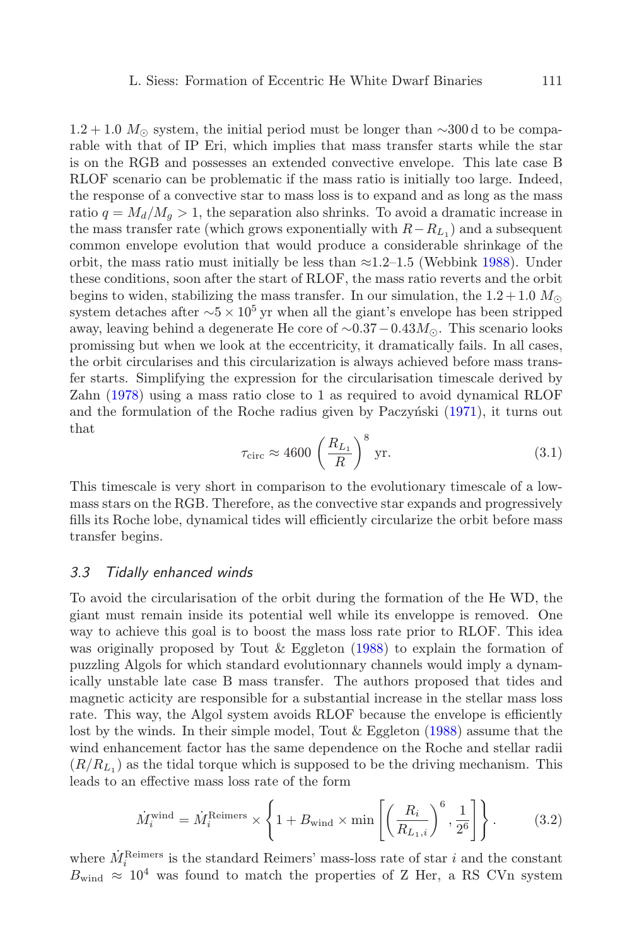$1.2+1.0$  M<sub>∩</sub> system, the initial period must be longer than ∼300 d to be comparable with that of IP Eri, which implies that mass transfer starts while the star is on the RGB and possesses an extended convective envelope. This late case B RLOF scenario can be problematic if the mass ratio is initially too large. Indeed, the response of a convective star to mass loss is to expand and as long as the mass ratio  $q = M_d/M_g > 1$ , the separation also shrinks. To avoid a dramatic increase in the mass transfer rate (which grows exponentially with  $R-R_{L_1}$ ) and a subsequent common envelope evolution that would produce a considerable shrinkage of the orbit, the mass ratio must initially be less than  $\approx 1.2-1.5$  (Webbink [1988\)](#page-11-10). Under these conditions, soon after the start of RLOF, the mass ratio reverts and the orbit begins to widen, stabilizing the mass transfer. In our simulation, the  $1.2+1.0$   $M_{\odot}$ system detaches after  $~5 \times 10^5$  yr when all the giant's envelope has been stripped away, leaving behind a degenerate He core of  $\sim 0.37-0.43M_{\odot}$ . This scenario looks promissing but when we look at the eccentricity, it dramatically fails. In all cases, the orbit circularises and this circularization is always achieved before mass transfer starts. Simplifying the expression for the circularisation timescale derived by Zahn [\(1978\)](#page-11-11) using a mass ratio close to 1 as required to avoid dynamical RLOF and the formulation of the Roche radius given by Paczynski [\(1971\)](#page-11-12), it turns out that

$$
\tau_{\text{circ}} \approx 4600 \left( \frac{R_{L_1}}{R} \right)^8 \text{ yr.}
$$
\n(3.1)

This timescale is very short in comparison to the evolutionary timescale of a lowmass stars on the RGB. Therefore, as the convective star expands and progressively fills its Roche lobe, dynamical tides will efficiently circularize the orbit before mass transfer begins.

#### 3.3 Tidally enhanced winds

To avoid the circularisation of the orbit during the formation of the He WD, the giant must remain inside its potential well while its enveloppe is removed. One way to achieve this goal is to boost the mass loss rate prior to RLOF. This idea was originally proposed by Tout & Eggleton [\(1988\)](#page-11-13) to explain the formation of puzzling Algols for which standard evolutionnary channels would imply a dynamically unstable late case B mass transfer. The authors proposed that tides and magnetic acticity are responsible for a substantial increase in the stellar mass loss rate. This way, the Algol system avoids RLOF because the envelope is efficiently lost by the winds. In their simple model, Tout & Eggleton [\(1988\)](#page-11-13) assume that the wind enhancement factor has the same dependence on the Roche and stellar radii  $(R/R<sub>L1</sub>)$  as the tidal torque which is supposed to be the driving mechanism. This leads to an effective mass loss rate of the form

$$
\dot{M}_i^{\text{wind}} = \dot{M}_i^{\text{Reimes}} \times \left\{ 1 + B_{\text{wind}} \times \min\left[ \left( \frac{R_i}{R_{L_1,i}} \right)^6, \frac{1}{2^6} \right] \right\}. \tag{3.2}
$$

<span id="page-4-0"></span>where  $\dot{M}_i^{\text{Reimes}}$  is the standard Reimers' mass-loss rate of star *i* and the constant  $B_{wind} \approx 10^4$  was found to match the properties of Z Her, a RS CVn system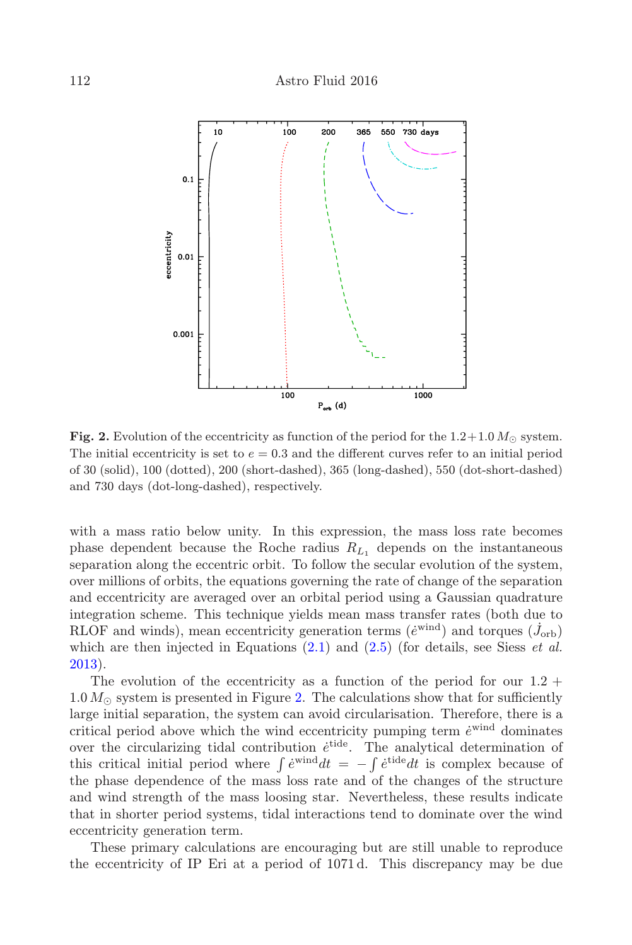

<span id="page-5-0"></span>Fig. 2. Evolution of the eccentricity as function of the period for the  $1.2+1.0 M_{\odot}$  system. The initial eccentricity is set to  $e = 0.3$  and the different curves refer to an initial period of 30 (solid), 100 (dotted), 200 (short-dashed), 365 (long-dashed), 550 (dot-short-dashed) and 730 days (dot-long-dashed), respectively.

with a mass ratio below unity. In this expression, the mass loss rate becomes phase dependent because the Roche radius  $R_{L_1}$  depends on the instantaneous separation along the eccentric orbit. To follow the secular evolution of the system, over millions of orbits, the equations governing the rate of change of the separation and eccentricity are averaged over an orbital period using a Gaussian quadrature integration scheme. This technique yields mean mass transfer rates (both due to RLOF and winds), mean eccentricity generation terms  $(e^{wind})$  and torques  $(\dot{J}_{orb})$ which are then injected in Equations  $(2.1)$  and  $(2.5)$  (for details, see Siess *et al.*) [2013\)](#page-11-6).

The evolution of the eccentricity as a function of the period for our  $1.2 +$  $1.0\,M_\odot$  system is presented in Figure [2.](#page-5-0) The calculations show that for sufficiently large initial separation, the system can avoid circularisation. Therefore, there is a critical period above which the wind eccentricity pumping term  $\dot{e}^{\text{wind}}$  dominates over the circularizing tidal contribution  $\dot{e}^{\text{tide}}$ . The analytical determination of this critical initial period where  $\int e^{i\theta} dt = -\int e^{i\theta} dt$  is complex because of the phase dependence of the mass loss rate and of the changes of the structure and wind strength of the mass loosing star. Nevertheless, these results indicate that in shorter period systems, tidal interactions tend to dominate over the wind eccentricity generation term.

These primary calculations are encouraging but are still unable to reproduce the eccentricity of IP Eri at a period of 1071 d. This discrepancy may be due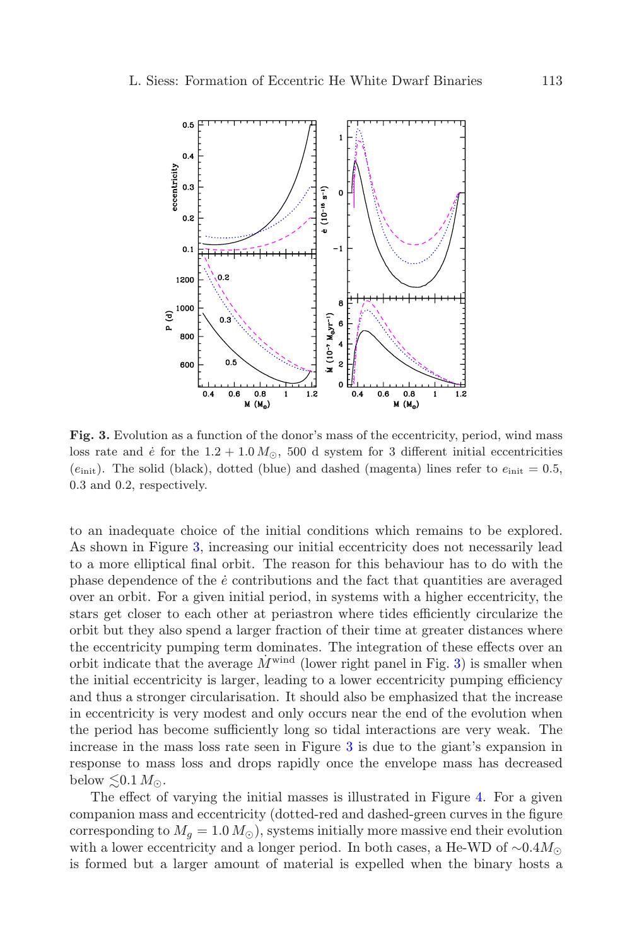

<span id="page-6-0"></span>Fig. 3. Evolution as a function of the donor's mass of the eccentricity, period, wind mass loss rate and  $\dot{e}$  for the 1.2 + 1.0  $M_{\odot}$ , 500 d system for 3 different initial eccentricities  $(e<sub>init</sub>)$ . The solid (black), dotted (blue) and dashed (magenta) lines refer to  $e<sub>init</sub> = 0.5$ , 0.3 and 0.2, respectively.

to an inadequate choice of the initial conditions which remains to be explored. As shown in Figure [3,](#page-6-0) increasing our initial eccentricity does not necessarily lead to a more elliptical final orbit. The reason for this behaviour has to do with the phase dependence of the  $\dot{e}$  contributions and the fact that quantities are averaged over an orbit. For a given initial period, in systems with a higher eccentricity, the stars get closer to each other at periastron where tides efficiently circularize the orbit but they also spend a larger fraction of their time at greater distances where the eccentricity pumping term dominates. The integration of these effects over an orbit indicate that the average  $\dot{M}^{\text{wind}}$  (lower right panel in Fig. [3\)](#page-6-0) is smaller when the initial eccentricity is larger, leading to a lower eccentricity pumping efficiency and thus a stronger circularisation. It should also be emphasized that the increase in eccentricity is very modest and only occurs near the end of the evolution when the period has become sufficiently long so tidal interactions are very weak. The increase in the mass loss rate seen in Figure [3](#page-6-0) is due to the giant's expansion in response to mass loss and drops rapidly once the envelope mass has decreased below  $\lesssim 0.1 M_{\odot}$ .

The effect of varying the initial masses is illustrated in Figure [4.](#page-7-0) For a given companion mass and eccentricity (dotted-red and dashed-green curves in the figure corresponding to  $M_q = 1.0 M_\odot$ , systems initially more massive end their evolution with a lower eccentricity and a longer period. In both cases, a He-WD of  $\sim 0.4 M_{\odot}$ is formed but a larger amount of material is expelled when the binary hosts a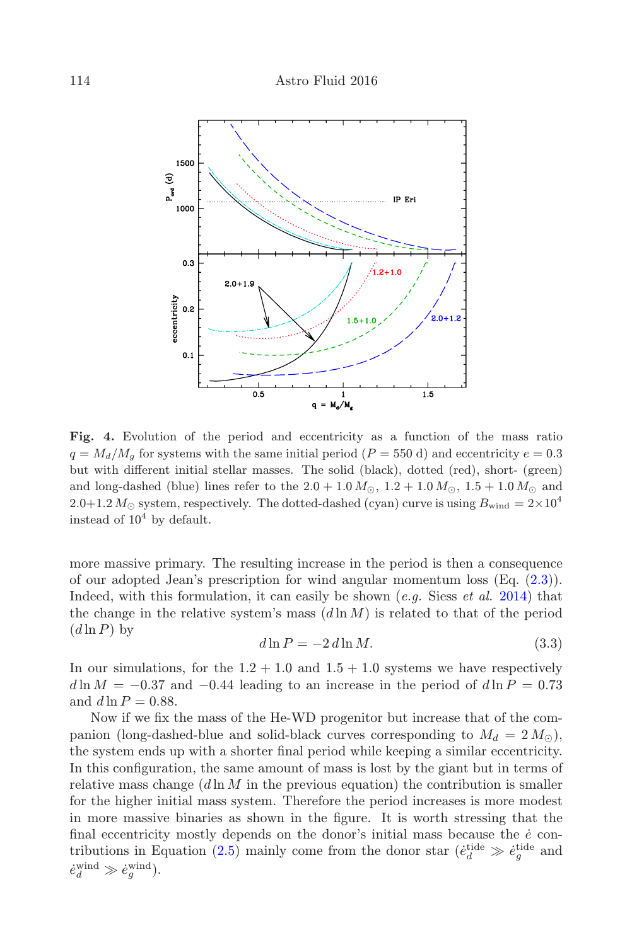

<span id="page-7-0"></span>Fig. 4. Evolution of the period and eccentricity as a function of the mass ratio  $q = M_d/M_g$  for systems with the same initial period (P = 550 d) and eccentricity  $e = 0.3$ but with different initial stellar masses. The solid (black), dotted (red), short- (green) and long-dashed (blue) lines refer to the  $2.0+1.0 M_{\odot}$ ,  $1.2+1.0 M_{\odot}$ ,  $1.5+1.0 M_{\odot}$  and 2.0+1.2  $M_{\odot}$  system, respectively. The dotted-dashed (cyan) curve is using  $B_{\rm wind} = 2 \times 10^4$ instead of  $10^4$  by default.

more massive primary. The resulting increase in the period is then a consequence of our adopted Jean's prescription for wind angular momentum loss (Eq. [\(2.3\)](#page-1-1)). Indeed, with this formulation, it can easily be shown  $(e,q)$ . Siess  $et \, al. \, 2014$ ) that the change in the relative system's mass  $(d \ln M)$  is related to that of the period  $(d \ln P)$  by

$$
d\ln P = -2 d\ln M. \tag{3.3}
$$

In our simulations, for the  $1.2+1.0$  and  $1.5+1.0$  systems we have respectively  $d \ln M = -0.37$  and  $-0.44$  leading to an increase in the period of  $d \ln P = 0.73$ and  $d \ln P = 0.88$ .

Now if we fix the mass of the He-WD progenitor but increase that of the companion (long-dashed-blue and solid-black curves corresponding to  $M_d = 2 M_{\odot}$ ), the system ends up with a shorter final period while keeping a similar eccentricity. In this configuration, the same amount of mass is lost by the giant but in terms of relative mass change  $(d \ln M)$  in the previous equation) the contribution is smaller for the higher initial mass system. Therefore the period increases is more modest in more massive binaries as shown in the figure. It is worth stressing that the final eccentricity mostly depends on the donor's initial mass because the  $\dot{e}$  con-tributions in Equation [\(2.5\)](#page-2-0) mainly come from the donor star ( $\dot{e}^{\text{tide}}_{d} \gg \dot{e}^{\text{tide}}_{g}$  and  $\dot{e}_d^{\text{wind}} \gg \dot{e}_g^{\text{wind}}$ ).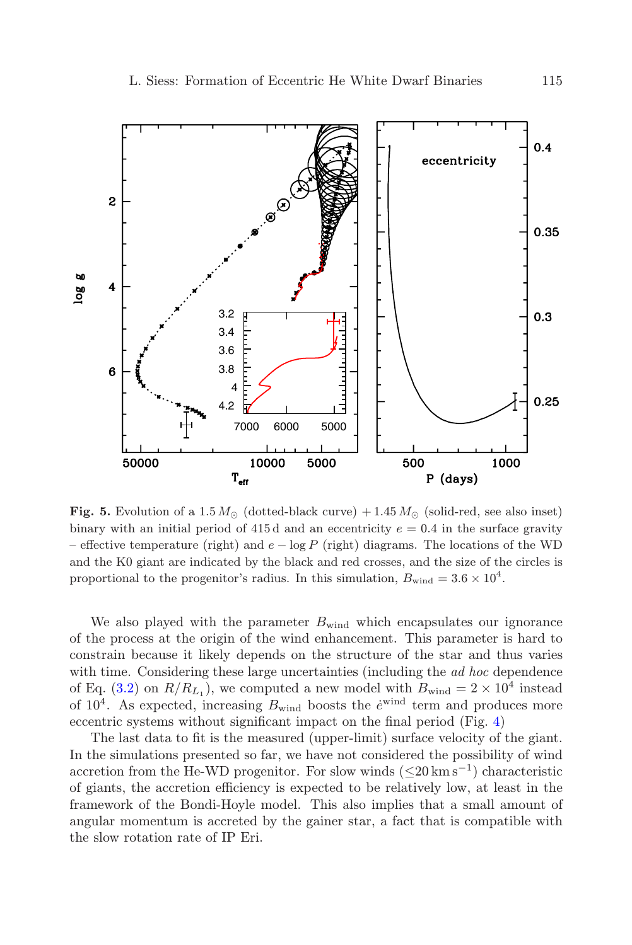

<span id="page-8-0"></span>**Fig. 5.** Evolution of a 1.5  $M_{\odot}$  (dotted-black curve) + 1.45  $M_{\odot}$  (solid-red, see also inset) binary with an initial period of  $415d$  and an eccentricity  $e = 0.4$  in the surface gravity – effective temperature (right) and  $e - \log P$  (right) diagrams. The locations of the WD and the K0 giant are indicated by the black and red crosses, and the size of the circles is proportional to the progenitor's radius. In this simulation,  $B_{wind} = 3.6 \times 10^4$ .

We also played with the parameter  $B_{wind}$  which encapsulates our ignorance of the process at the origin of the wind enhancement. This parameter is hard to constrain because it likely depends on the structure of the star and thus varies with time. Considering these large uncertainties (including the *ad hoc* dependence of Eq. [\(3.2\)](#page-4-0) on  $R/R_{L_1}$ , we computed a new model with  $B_{wind} = 2 \times 10^4$  instead of  $10^4$ . As expected, increasing  $B_{wind}$  boosts the  $\dot{e}^{wind}$  term and produces more eccentric systems without significant impact on the final period (Fig. [4\)](#page-7-0)

The last data to fit is the measured (upper-limit) surface velocity of the giant. In the simulations presented so far, we have not considered the possibility of wind accretion from the He-WD progenitor. For slow winds  $(\leq 20 \text{ km s}^{-1})$  characteristic of giants, the accretion efficiency is expected to be relatively low, at least in the framework of the Bondi-Hoyle model. This also implies that a small amount of angular momentum is accreted by the gainer star, a fact that is compatible with the slow rotation rate of IP Eri.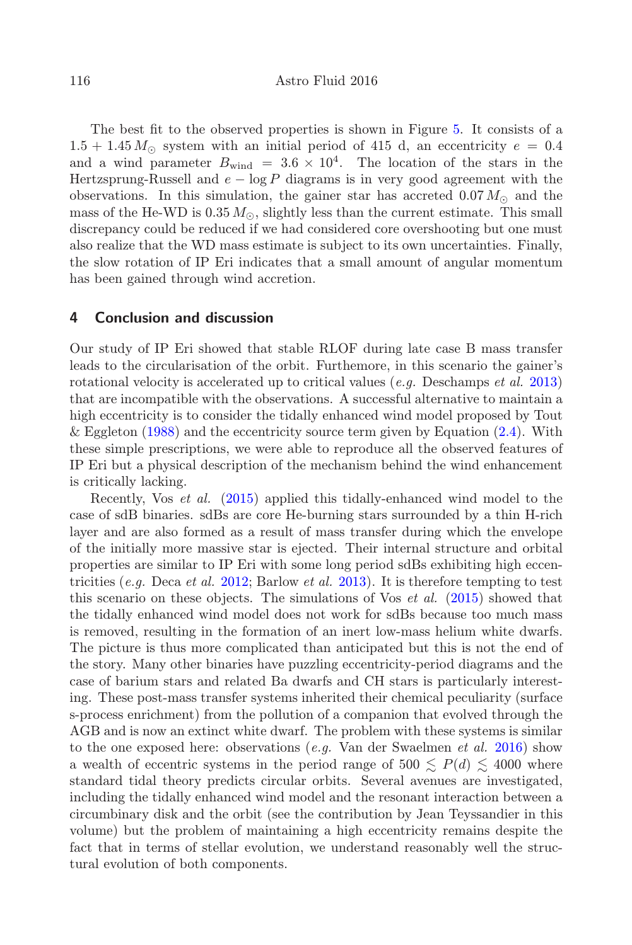The best fit to the observed properties is shown in Figure [5.](#page-8-0) It consists of a  $1.5+1.45 M_{\odot}$  system with an initial period of 415 d, an eccentricity  $e = 0.4$ and a wind parameter  $B_{wind} = 3.6 \times 10^4$ . The location of the stars in the Hertzsprung-Russell and  $e - \log P$  diagrams is in very good agreement with the observations. In this simulation, the gainer star has accreted  $0.07 M_{\odot}$  and the mass of the He-WD is  $0.35 M_{\odot}$ , slightly less than the current estimate. This small discrepancy could be reduced if we had considered core overshooting but one must also realize that the WD mass estimate is subject to its own uncertainties. Finally, the slow rotation of IP Eri indicates that a small amount of angular momentum has been gained through wind accretion.

#### 4 Conclusion and discussion

Our study of IP Eri showed that stable RLOF during late case B mass transfer leads to the circularisation of the orbit. Furthemore, in this scenario the gainer's rotational velocity is accelerated up to critical values (*e.g.* Deschamps *et al.* [2013\)](#page-10-7) that are incompatible with the observations. A successful alternative to maintain a high eccentricity is to consider the tidally enhanced wind model proposed by Tout & Eggleton  $(1988)$  and the eccentricity source term given by Equation  $(2.4)$ . With these simple prescriptions, we were able to reproduce all the observed features of IP Eri but a physical description of the mechanism behind the wind enhancement is critically lacking.

Recently, Vos et al. [\(2015\)](#page-11-15) applied this tidally-enhanced wind model to the case of sdB binaries. sdBs are core He-burning stars surrounded by a thin H-rich layer and are also formed as a result of mass transfer during which the envelope of the initially more massive star is ejected. Their internal structure and orbital properties are similar to IP Eri with some long period sdBs exhibiting high eccen-tricities (e.g. Deca et al. [2012;](#page-10-8) Barlow et al. [2013\)](#page-10-9). It is therefore tempting to test this scenario on these objects. The simulations of Vos  $et$  al. [\(2015\)](#page-11-15) showed that the tidally enhanced wind model does not work for sdBs because too much mass is removed, resulting in the formation of an inert low-mass helium white dwarfs. The picture is thus more complicated than anticipated but this is not the end of the story. Many other binaries have puzzling eccentricity-period diagrams and the case of barium stars and related Ba dwarfs and CH stars is particularly interesting. These post-mass transfer systems inherited their chemical peculiarity (surface s-process enrichment) from the pollution of a companion that evolved through the AGB and is now an extinct white dwarf. The problem with these systems is similar to the one exposed here: observations  $(e.g.$  Van der Swaelmen  $et al.$  [2016\)](#page-11-16) show a wealth of eccentric systems in the period range of 500  $\leq P(d) \leq 4000$  where standard tidal theory predicts circular orbits. Several avenues are investigated, including the tidally enhanced wind model and the resonant interaction between a circumbinary disk and the orbit (see the contribution by Jean Teyssandier in this volume) but the problem of maintaining a high eccentricity remains despite the fact that in terms of stellar evolution, we understand reasonably well the structural evolution of both components.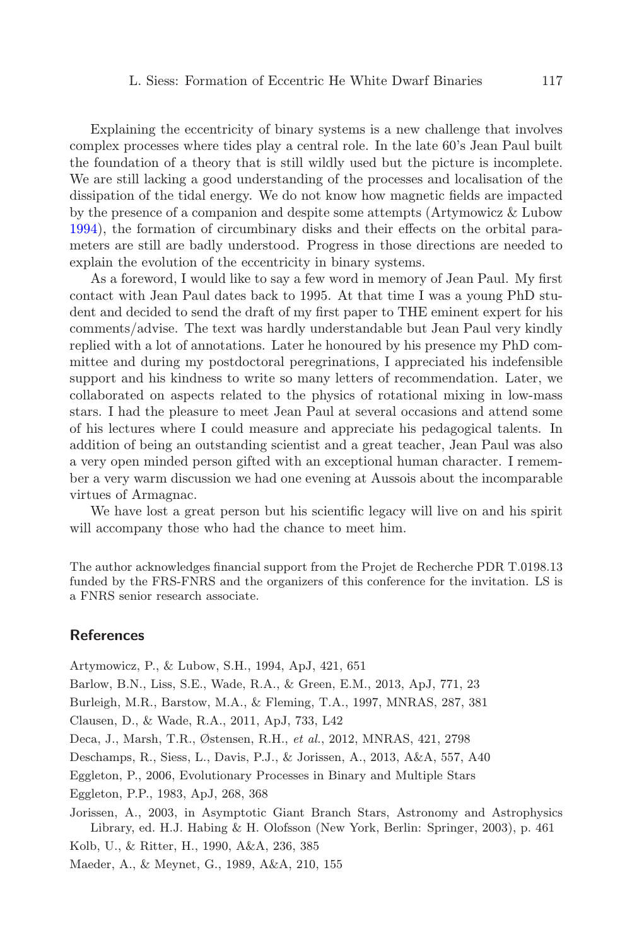Explaining the eccentricity of binary systems is a new challenge that involves complex processes where tides play a central role. In the late 60's Jean Paul built the foundation of a theory that is still wildly used but the picture is incomplete. We are still lacking a good understanding of the processes and localisation of the dissipation of the tidal energy. We do not know how magnetic fields are impacted by the presence of a companion and despite some attempts (Artymowicz & Lubow [1994\)](#page-10-10), the formation of circumbinary disks and their effects on the orbital parameters are still are badly understood. Progress in those directions are needed to explain the evolution of the eccentricity in binary systems.

As a foreword, I would like to say a few word in memory of Jean Paul. My first contact with Jean Paul dates back to 1995. At that time I was a young PhD student and decided to send the draft of my first paper to THE eminent expert for his comments/advise. The text was hardly understandable but Jean Paul very kindly replied with a lot of annotations. Later he honoured by his presence my PhD committee and during my postdoctoral peregrinations, I appreciated his indefensible support and his kindness to write so many letters of recommendation. Later, we collaborated on aspects related to the physics of rotational mixing in low-mass stars. I had the pleasure to meet Jean Paul at several occasions and attend some of his lectures where I could measure and appreciate his pedagogical talents. In addition of being an outstanding scientist and a great teacher, Jean Paul was also a very open minded person gifted with an exceptional human character. I remember a very warm discussion we had one evening at Aussois about the incomparable virtues of Armagnac.

We have lost a great person but his scientific legacy will live on and his spirit will accompany those who had the chance to meet him.

The author acknowledges financial support from the Projet de Recherche PDR T.0198.13 funded by the FRS-FNRS and the organizers of this conference for the invitation. LS is a FNRS senior research associate.

## References

<span id="page-10-10"></span><span id="page-10-9"></span><span id="page-10-8"></span><span id="page-10-7"></span><span id="page-10-6"></span><span id="page-10-5"></span><span id="page-10-4"></span><span id="page-10-3"></span><span id="page-10-2"></span><span id="page-10-1"></span><span id="page-10-0"></span>Artymowicz, P., & Lubow, S.H., 1994, ApJ, 421, 651 Barlow, B.N., Liss, S.E., Wade, R.A., & Green, E.M., 2013, ApJ, 771, 23 Burleigh, M.R., Barstow, M.A., & Fleming, T.A., 1997, MNRAS, 287, 381 Clausen, D., & Wade, R.A., 2011, ApJ, 733, L42 Deca, J., Marsh, T.R., Østensen, R.H., et al., 2012, MNRAS, 421, 2798 Deschamps, R., Siess, L., Davis, P.J., & Jorissen, A., 2013, A&A, 557, A40 Eggleton, P., 2006, Evolutionary Processes in Binary and Multiple Stars Eggleton, P.P., 1983, ApJ, 268, 368 Jorissen, A., 2003, in Asymptotic Giant Branch Stars, Astronomy and Astrophysics Library, ed. H.J. Habing & H. Olofsson (New York, Berlin: Springer, 2003), p. 461 Kolb, U., & Ritter, H., 1990, A&A, 236, 385 Maeder, A., & Meynet, G., 1989, A&A, 210, 155